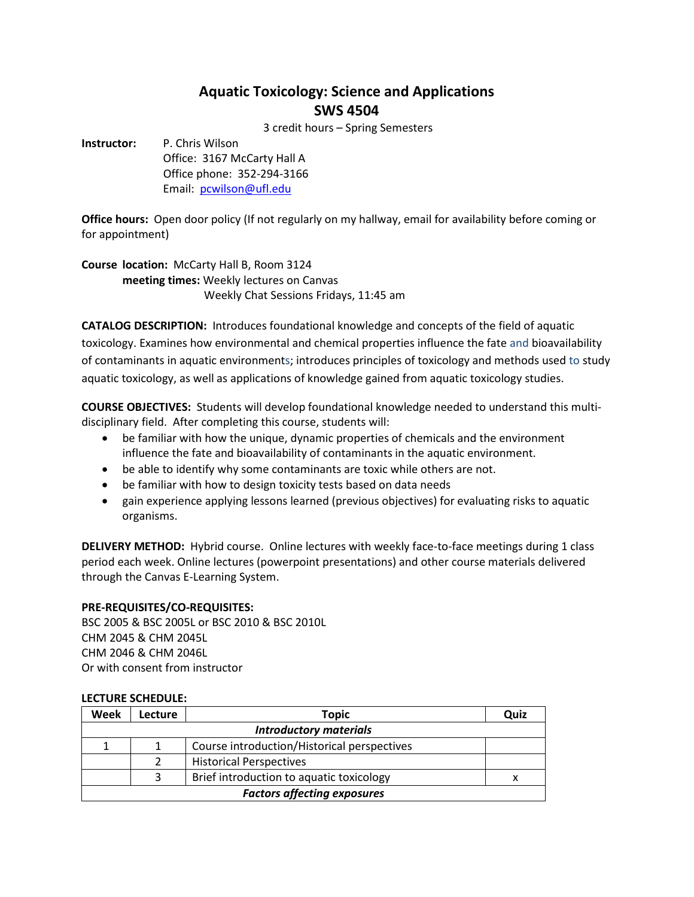# **Aquatic Toxicology: Science and Applications SWS 4504**

3 credit hours – Spring Semesters

**Instructor:** P. Chris Wilson Office: 3167 McCarty Hall A Office phone: 352-294-3166

Email: [pcwilson@ufl.edu](mailto:pcwilson@ufl.edu)

**Office hours:** Open door policy (If not regularly on my hallway, email for availability before coming or for appointment)

**Course location:** McCarty Hall B, Room 3124 **meeting times:** Weekly lectures on Canvas Weekly Chat Sessions Fridays, 11:45 am

**CATALOG DESCRIPTION:** Introduces foundational knowledge and concepts of the field of aquatic toxicology. Examines how environmental and chemical properties influence the fate and bioavailability of contaminants in aquatic environments; introduces principles of toxicology and methods used to study aquatic toxicology, as well as applications of knowledge gained from aquatic toxicology studies.

**COURSE OBJECTIVES:** Students will develop foundational knowledge needed to understand this multidisciplinary field. After completing this course, students will:

- be familiar with how the unique, dynamic properties of chemicals and the environment influence the fate and bioavailability of contaminants in the aquatic environment.
- be able to identify why some contaminants are toxic while others are not.
- be familiar with how to design toxicity tests based on data needs
- gain experience applying lessons learned (previous objectives) for evaluating risks to aquatic organisms.

**DELIVERY METHOD:** Hybrid course. Online lectures with weekly face-to-face meetings during 1 class period each week. Online lectures (powerpoint presentations) and other course materials delivered through the Canvas E-Learning System.

## **PRE-REQUISITES/CO-REQUISITES:**

BSC 2005 & BSC 2005L or BSC 2010 & BSC 2010L CHM 2045 & CHM 2045L CHM 2046 & CHM 2046L Or with consent from instructor

## **LECTURE SCHEDULE:**

| Week                               | Lecture | <b>Topic</b>                                | Quiz |
|------------------------------------|---------|---------------------------------------------|------|
| <b>Introductory materials</b>      |         |                                             |      |
|                                    |         | Course introduction/Historical perspectives |      |
|                                    | 2       | <b>Historical Perspectives</b>              |      |
|                                    | 3       | Brief introduction to aquatic toxicology    |      |
| <b>Factors affecting exposures</b> |         |                                             |      |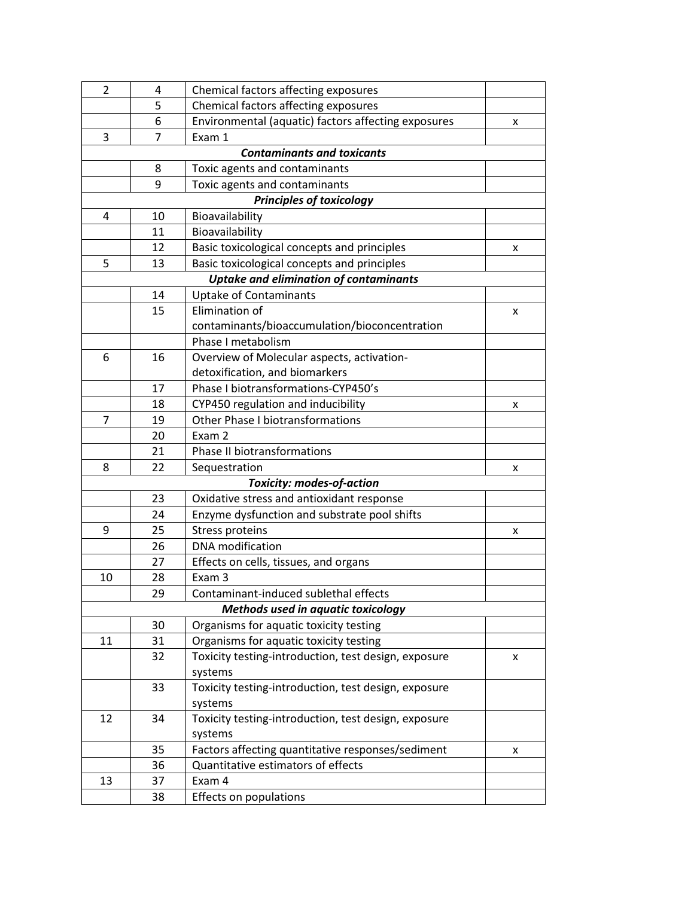| 2  | 4  | Chemical factors affecting exposures                 |   |  |
|----|----|------------------------------------------------------|---|--|
|    | 5  | Chemical factors affecting exposures                 |   |  |
|    | 6  | Environmental (aquatic) factors affecting exposures  | х |  |
| 3  | 7  | Exam 1                                               |   |  |
|    |    | <b>Contaminants and toxicants</b>                    |   |  |
|    | 8  | Toxic agents and contaminants                        |   |  |
|    | 9  | Toxic agents and contaminants                        |   |  |
|    |    | <b>Principles of toxicology</b>                      |   |  |
| 4  | 10 | Bioavailability                                      |   |  |
|    | 11 | Bioavailability                                      |   |  |
|    | 12 | Basic toxicological concepts and principles          | x |  |
| 5  | 13 | Basic toxicological concepts and principles          |   |  |
|    |    | <b>Uptake and elimination of contaminants</b>        |   |  |
|    | 14 | <b>Uptake of Contaminants</b>                        |   |  |
|    | 15 | Elimination of                                       | x |  |
|    |    | contaminants/bioaccumulation/bioconcentration        |   |  |
|    |    | Phase I metabolism                                   |   |  |
| 6  | 16 | Overview of Molecular aspects, activation-           |   |  |
|    |    | detoxification, and biomarkers                       |   |  |
|    | 17 | Phase I biotransformations-CYP450's                  |   |  |
|    | 18 | CYP450 regulation and inducibility                   | x |  |
| 7  | 19 | <b>Other Phase I biotransformations</b>              |   |  |
|    | 20 | Exam 2                                               |   |  |
|    | 21 | Phase II biotransformations                          |   |  |
| 8  | 22 | Sequestration                                        | x |  |
|    |    | <b>Toxicity: modes-of-action</b>                     |   |  |
|    | 23 | Oxidative stress and antioxidant response            |   |  |
|    | 24 | Enzyme dysfunction and substrate pool shifts         |   |  |
| 9  | 25 | <b>Stress proteins</b>                               | x |  |
|    | 26 | <b>DNA</b> modification                              |   |  |
|    | 27 | Effects on cells, tissues, and organs                |   |  |
| 10 | 28 | Exam 3                                               |   |  |
|    | 29 | Contaminant-induced sublethal effects                |   |  |
|    |    | Methods used in aquatic toxicology                   |   |  |
|    | 30 | Organisms for aquatic toxicity testing               |   |  |
| 11 | 31 | Organisms for aquatic toxicity testing               |   |  |
|    | 32 | Toxicity testing-introduction, test design, exposure | x |  |
|    |    | systems                                              |   |  |
|    | 33 | Toxicity testing-introduction, test design, exposure |   |  |
|    |    | systems                                              |   |  |
| 12 | 34 | Toxicity testing-introduction, test design, exposure |   |  |
|    |    | systems                                              |   |  |
|    | 35 | Factors affecting quantitative responses/sediment    | x |  |
|    | 36 | Quantitative estimators of effects                   |   |  |
| 13 | 37 | Exam 4                                               |   |  |
|    | 38 | Effects on populations                               |   |  |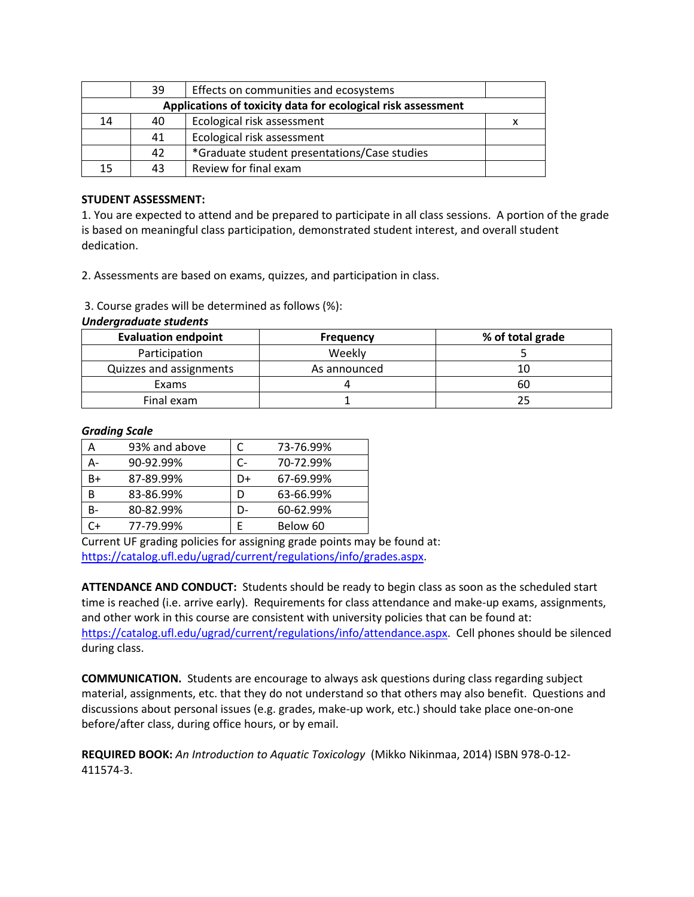|                                                              | 39 | Effects on communities and ecosystems        |  |
|--------------------------------------------------------------|----|----------------------------------------------|--|
| Applications of toxicity data for ecological risk assessment |    |                                              |  |
| 14                                                           | 40 | Ecological risk assessment                   |  |
|                                                              | 41 | Ecological risk assessment                   |  |
|                                                              | 42 | *Graduate student presentations/Case studies |  |
| 15                                                           | 43 | Review for final exam                        |  |

## **STUDENT ASSESSMENT:**

1. You are expected to attend and be prepared to participate in all class sessions. A portion of the grade is based on meaningful class participation, demonstrated student interest, and overall student dedication.

2. Assessments are based on exams, quizzes, and participation in class.

3. Course grades will be determined as follows (%):

| <b>Evaluation endpoint</b> | <b>Frequency</b> | % of total grade |
|----------------------------|------------------|------------------|
| Participation              | Weekly           |                  |
| Quizzes and assignments    | As announced     | 10               |
| Exams                      |                  | 60               |
| Final exam                 |                  |                  |

## *Undergraduate students*

## *Grading Scale*

| Α  | 93% and above | C  | 73-76.99% |
|----|---------------|----|-----------|
|    | 90-92.99%     | C- | 70-72.99% |
| B+ | 87-89.99%     | D+ | 67-69.99% |
| В  | 83-86.99%     | D  | 63-66.99% |
| B- | 80-82.99%     | D- | 60-62.99% |
| `+ | 77-79.99%     | F  | Below 60  |

Current UF grading policies for assigning grade points may be found at: [https://catalog.ufl.edu/ugrad/current/regulations/info/grades.aspx.](https://catalog.ufl.edu/ugrad/current/regulations/info/grades.aspx)

**ATTENDANCE AND CONDUCT:** Students should be ready to begin class as soon as the scheduled start time is reached (i.e. arrive early). Requirements for class attendance and make-up exams, assignments, and other work in this course are consistent with university policies that can be found at: [https://catalog.ufl.edu/ugrad/current/regulations/info/attendance.aspx.](https://catalog.ufl.edu/ugrad/current/regulations/info/attendance.aspx) Cell phones should be silenced during class.

**COMMUNICATION.** Students are encourage to always ask questions during class regarding subject material, assignments, etc. that they do not understand so that others may also benefit. Questions and discussions about personal issues (e.g. grades, make-up work, etc.) should take place one-on-one before/after class, during office hours, or by email.

**REQUIRED BOOK:** *An Introduction to Aquatic Toxicology* (Mikko Nikinmaa, 2014) ISBN 978-0-12- 411574-3.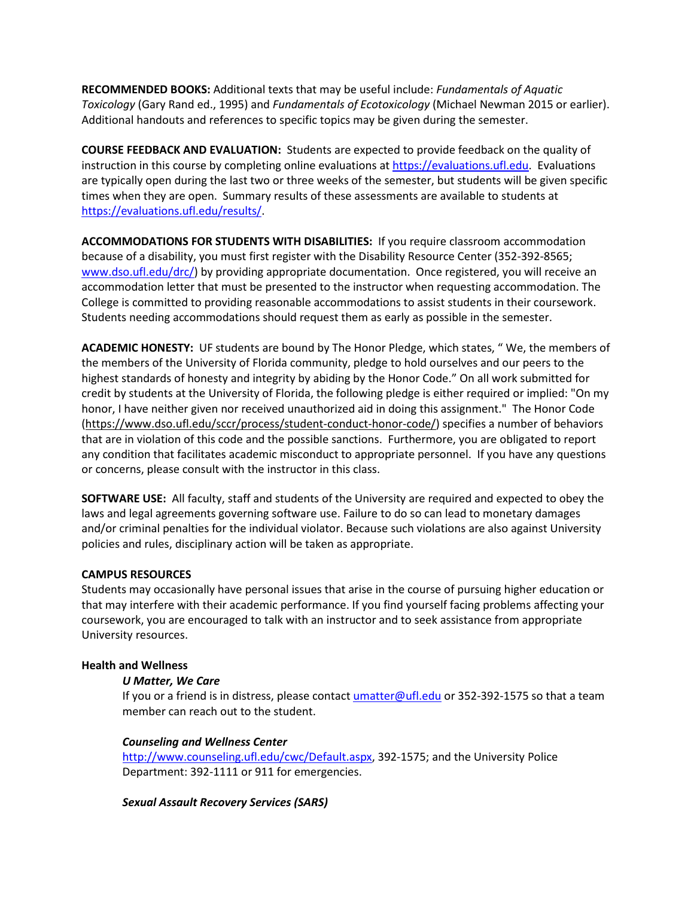**RECOMMENDED BOOKS:** Additional texts that may be useful include: *Fundamentals of Aquatic Toxicology* (Gary Rand ed., 1995) and *Fundamentals of Ecotoxicology* (Michael Newman 2015 or earlier). Additional handouts and references to specific topics may be given during the semester.

**COURSE FEEDBACK AND EVALUATION:** Students are expected to provide feedback on the quality of instruction in this course by completing online evaluations at [https://evaluations.ufl.edu.](https://evaluations.ufl.edu/) Evaluations are typically open during the last two or three weeks of the semester, but students will be given specific times when they are open. Summary results of these assessments are available to students at [https://evaluations.ufl.edu/results/.](https://evaluations.ufl.edu/results/)

**ACCOMMODATIONS FOR STUDENTS WITH DISABILITIES:** If you require classroom accommodation because of a disability, you must first register with the Disability Resource Center (352-392-8565; [www.dso.ufl.edu/drc/\)](http://www.dso.ufl.edu/drc/) by providing appropriate documentation. Once registered, you will receive an accommodation letter that must be presented to the instructor when requesting accommodation. The College is committed to providing reasonable accommodations to assist students in their coursework. Students needing accommodations should request them as early as possible in the semester.

**ACADEMIC HONESTY:** UF students are bound by The Honor Pledge, which states, " We, the members of the members of the University of Florida community, pledge to hold ourselves and our peers to the highest standards of honesty and integrity by abiding by the Honor Code." On all work submitted for credit by students at the University of Florida, the following pledge is either required or implied: "On my honor, I have neither given nor received unauthorized aid in doing this assignment." The Honor Code [\(https://www.dso.ufl.edu/sccr/process/student-conduct-honor-code/\)](https://www.dso.ufl.edu/sccr/process/student-conduct-honor-code/) specifies a number of behaviors that are in violation of this code and the possible sanctions. Furthermore, you are obligated to report any condition that facilitates academic misconduct to appropriate personnel. If you have any questions or concerns, please consult with the instructor in this class.

**SOFTWARE USE:** All faculty, staff and students of the University are required and expected to obey the laws and legal agreements governing software use. Failure to do so can lead to monetary damages and/or criminal penalties for the individual violator. Because such violations are also against University policies and rules, disciplinary action will be taken as appropriate.

## **CAMPUS RESOURCES**

Students may occasionally have personal issues that arise in the course of pursuing higher education or that may interfere with their academic performance. If you find yourself facing problems affecting your coursework, you are encouraged to talk with an instructor and to seek assistance from appropriate University resources.

## **Health and Wellness**

## *U Matter, We Care*

If you or a friend is in distress, please contact *umatter@ufl.edu* or 352-392-1575 so that a team member can reach out to the student.

## *Counseling and Wellness Center*

[http://www.counseling.ufl.edu/cwc/Default.aspx,](http://www.counseling.ufl.edu/cwc/Default.aspx) 392-1575; and the University Police Department: 392-1111 or 911 for emergencies.

## *Sexual Assault Recovery Services (SARS)*